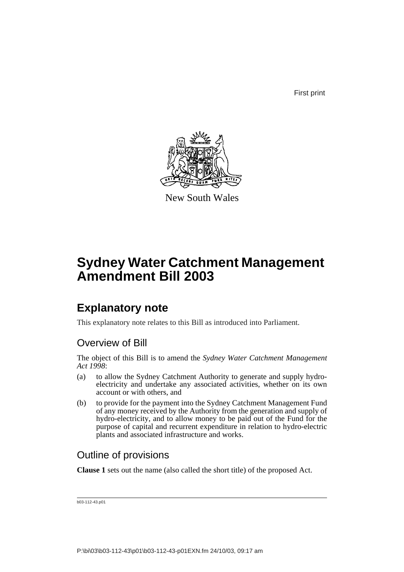First print



New South Wales

# **Sydney Water Catchment Management Amendment Bill 2003**

## **Explanatory note**

This explanatory note relates to this Bill as introduced into Parliament.

## Overview of Bill

The object of this Bill is to amend the *Sydney Water Catchment Management Act 1998*:

- (a) to allow the Sydney Catchment Authority to generate and supply hydroelectricity and undertake any associated activities, whether on its own account or with others, and
- (b) to provide for the payment into the Sydney Catchment Management Fund of any money received by the Authority from the generation and supply of hydro-electricity, and to allow money to be paid out of the Fund for the purpose of capital and recurrent expenditure in relation to hydro-electric plants and associated infrastructure and works.

### Outline of provisions

**Clause 1** sets out the name (also called the short title) of the proposed Act.

```
b03-112-43.p01
```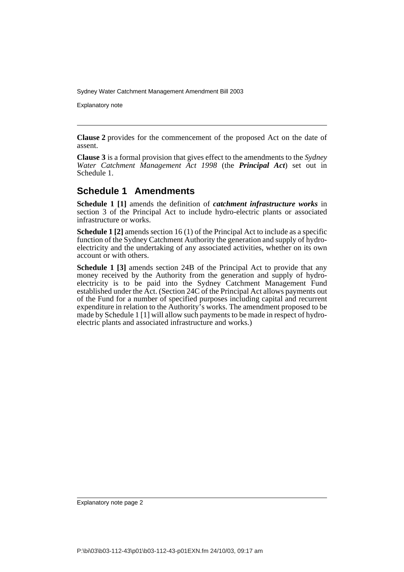Sydney Water Catchment Management Amendment Bill 2003

Explanatory note

**Clause 2** provides for the commencement of the proposed Act on the date of assent.

**Clause 3** is a formal provision that gives effect to the amendments to the *Sydney Water Catchment Management Act 1998* (the *Principal Act*) set out in Schedule 1.

### **Schedule 1 Amendments**

**Schedule 1 [1]** amends the definition of *catchment infrastructure works* in section 3 of the Principal Act to include hydro-electric plants or associated infrastructure or works.

**Schedule 1 [2]** amends section 16 (1) of the Principal Act to include as a specific function of the Sydney Catchment Authority the generation and supply of hydroelectricity and the undertaking of any associated activities, whether on its own account or with others.

**Schedule 1 [3]** amends section 24B of the Principal Act to provide that any money received by the Authority from the generation and supply of hydroelectricity is to be paid into the Sydney Catchment Management Fund established under the Act. (Section 24C of the Principal Act allows payments out of the Fund for a number of specified purposes including capital and recurrent expenditure in relation to the Authority's works. The amendment proposed to be made by Schedule 1 [1] will allow such payments to be made in respect of hydroelectric plants and associated infrastructure and works.)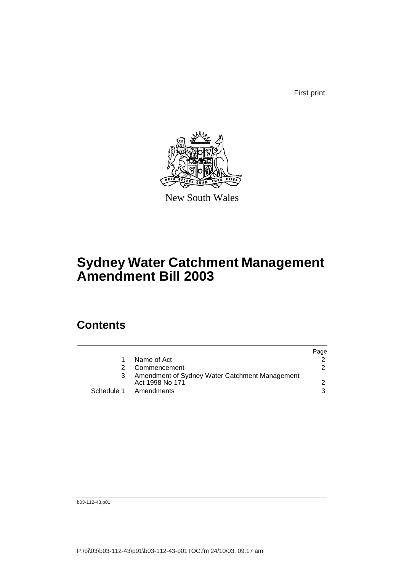First print



New South Wales

# **Sydney Water Catchment Management Amendment Bill 2003**

## **Contents**

|   |                                                                   | Page |
|---|-------------------------------------------------------------------|------|
|   | Name of Act                                                       |      |
|   | Commencement                                                      | 2    |
| 3 | Amendment of Sydney Water Catchment Management<br>Act 1998 No 171 |      |
|   | Schedule 1 Amendments                                             | 3    |

b03-112-43.p01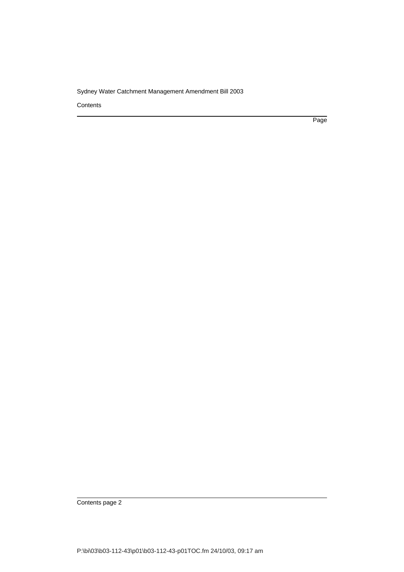#### Sydney Water Catchment Management Amendment Bill 2003

**Contents** 

Page

Contents page 2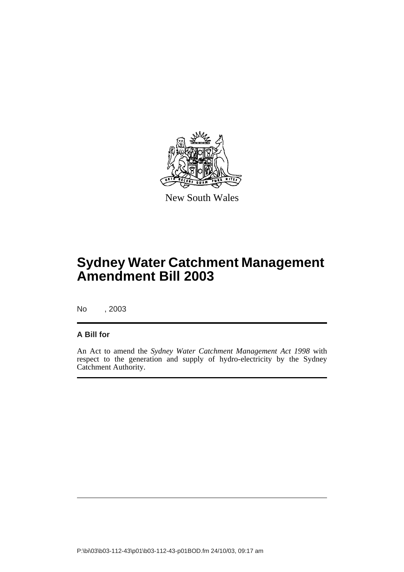

New South Wales

# **Sydney Water Catchment Management Amendment Bill 2003**

No , 2003

### **A Bill for**

An Act to amend the *Sydney Water Catchment Management Act 1998* with respect to the generation and supply of hydro-electricity by the Sydney Catchment Authority.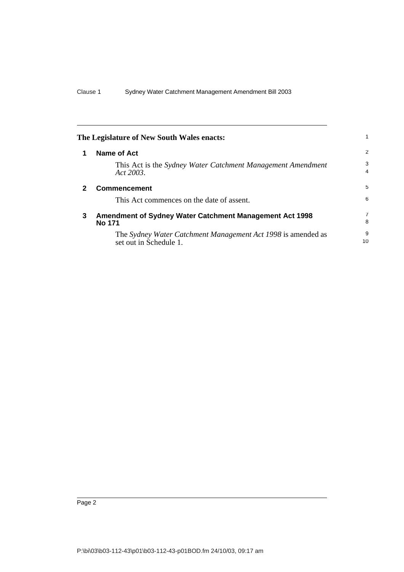<span id="page-5-2"></span><span id="page-5-1"></span><span id="page-5-0"></span>

| The Legislature of New South Wales enacts: |                                                                                        |                     |
|--------------------------------------------|----------------------------------------------------------------------------------------|---------------------|
| 1                                          | Name of Act                                                                            | 2                   |
|                                            | This Act is the Sydney Water Catchment Management Amendment<br>$Act\,2003$ .           | 3<br>$\overline{4}$ |
| $\mathbf{2}$                               | <b>Commencement</b>                                                                    | 5                   |
|                                            | This Act commences on the date of assent.                                              | 6                   |
| 3                                          | Amendment of Sydney Water Catchment Management Act 1998<br><b>No 171</b>               | 7<br>8              |
|                                            | The Sydney Water Catchment Management Act 1998 is amended as<br>set out in Schedule 1. | 9<br>10             |